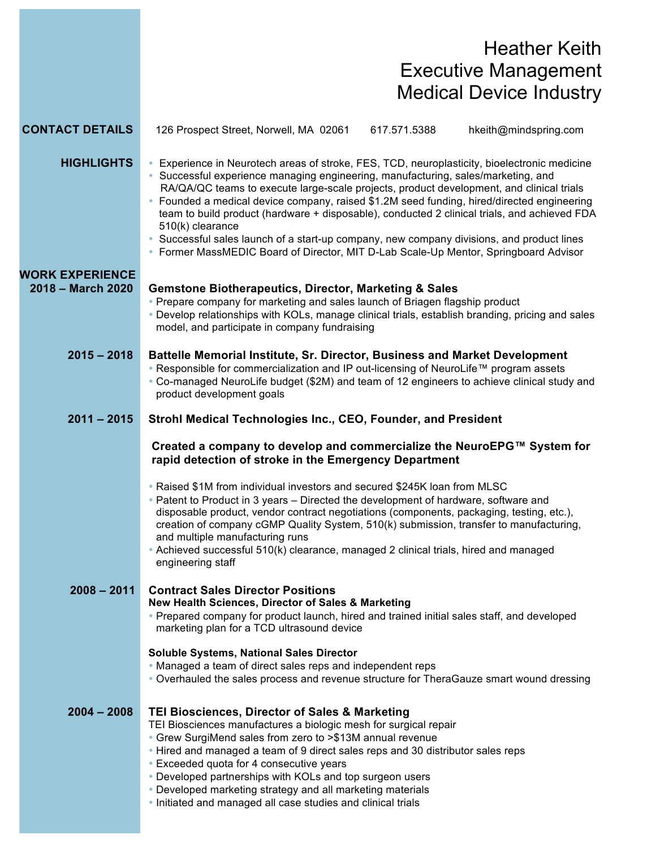## Heather Keith Executive Management Medical Device Industry

| <b>CONTACT DETAILS</b>                      | 126 Prospect Street, Norwell, MA 02061<br>617.571.5388<br>hkeith@mindspring.com                                                                                                                                                                                                                                                                                                                                                                                                                                                                                                                                                                                                      |
|---------------------------------------------|--------------------------------------------------------------------------------------------------------------------------------------------------------------------------------------------------------------------------------------------------------------------------------------------------------------------------------------------------------------------------------------------------------------------------------------------------------------------------------------------------------------------------------------------------------------------------------------------------------------------------------------------------------------------------------------|
| <b>HIGHLIGHTS</b>                           | • Experience in Neurotech areas of stroke, FES, TCD, neuroplasticity, bioelectronic medicine<br>• Successful experience managing engineering, manufacturing, sales/marketing, and<br>RA/QA/QC teams to execute large-scale projects, product development, and clinical trials<br>• Founded a medical device company, raised \$1.2M seed funding, hired/directed engineering<br>team to build product (hardware + disposable), conducted 2 clinical trials, and achieved FDA<br>510(k) clearance<br>• Successful sales launch of a start-up company, new company divisions, and product lines<br>• Former MassMEDIC Board of Director, MIT D-Lab Scale-Up Mentor, Springboard Advisor |
| <b>WORK EXPERIENCE</b><br>2018 - March 2020 | <b>Gemstone Biotherapeutics, Director, Marketing &amp; Sales</b><br>• Prepare company for marketing and sales launch of Briagen flagship product<br>• Develop relationships with KOLs, manage clinical trials, establish branding, pricing and sales<br>model, and participate in company fundraising                                                                                                                                                                                                                                                                                                                                                                                |
| $2015 - 2018$                               | Battelle Memorial Institute, Sr. Director, Business and Market Development<br>. Responsible for commercialization and IP out-licensing of NeuroLife™ program assets<br>• Co-managed NeuroLife budget (\$2M) and team of 12 engineers to achieve clinical study and<br>product development goals                                                                                                                                                                                                                                                                                                                                                                                      |
| $2011 - 2015$                               | Strohl Medical Technologies Inc., CEO, Founder, and President                                                                                                                                                                                                                                                                                                                                                                                                                                                                                                                                                                                                                        |
|                                             | Created a company to develop and commercialize the NeuroEPG™ System for<br>rapid detection of stroke in the Emergency Department                                                                                                                                                                                                                                                                                                                                                                                                                                                                                                                                                     |
|                                             | . Raised \$1M from individual investors and secured \$245K loan from MLSC<br>• Patent to Product in 3 years – Directed the development of hardware, software and<br>disposable product, vendor contract negotiations (components, packaging, testing, etc.),<br>creation of company cGMP Quality System, 510(k) submission, transfer to manufacturing,<br>and multiple manufacturing runs<br>• Achieved successful 510(k) clearance, managed 2 clinical trials, hired and managed<br>engineering staff                                                                                                                                                                               |
| $2008 - 2011$                               | <b>Contract Sales Director Positions</b><br>New Health Sciences, Director of Sales & Marketing<br>• Prepared company for product launch, hired and trained initial sales staff, and developed<br>marketing plan for a TCD ultrasound device                                                                                                                                                                                                                                                                                                                                                                                                                                          |
|                                             | <b>Soluble Systems, National Sales Director</b><br>• Managed a team of direct sales reps and independent reps<br>• Overhauled the sales process and revenue structure for TheraGauze smart wound dressing                                                                                                                                                                                                                                                                                                                                                                                                                                                                            |
| $2004 - 2008$                               | <b>TEI Biosciences, Director of Sales &amp; Marketing</b><br>TEI Biosciences manufactures a biologic mesh for surgical repair<br>• Grew SurgiMend sales from zero to >\$13M annual revenue<br>• Hired and managed a team of 9 direct sales reps and 30 distributor sales reps<br>• Exceeded quota for 4 consecutive years<br>• Developed partnerships with KOLs and top surgeon users<br>• Developed marketing strategy and all marketing materials<br>. Initiated and managed all case studies and clinical trials                                                                                                                                                                  |